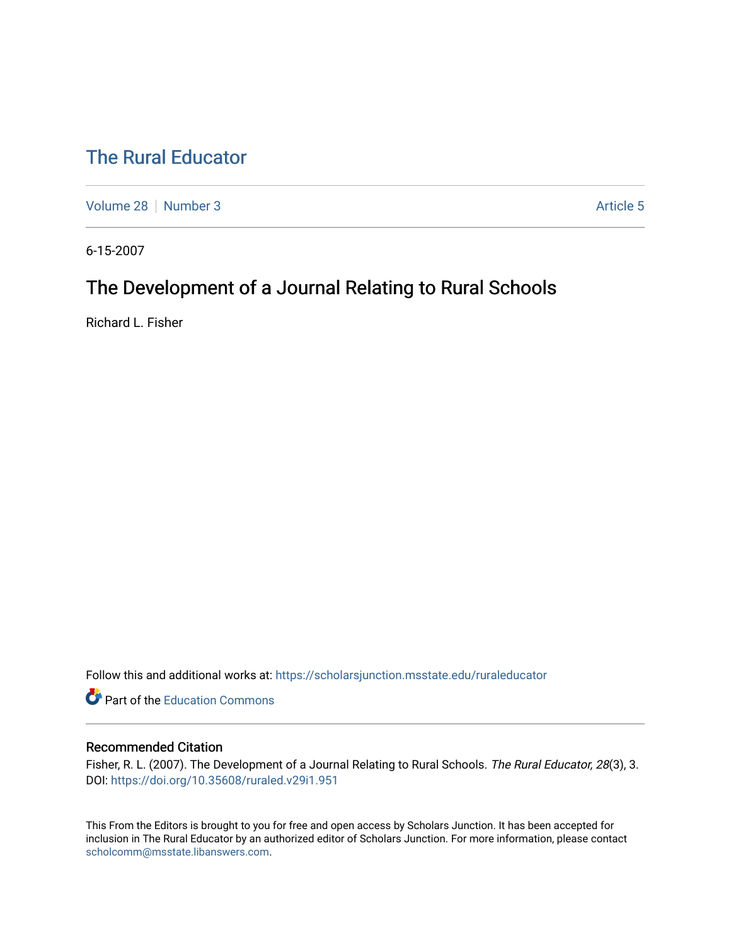# [The Rural Educator](https://scholarsjunction.msstate.edu/ruraleducator)

[Volume 28](https://scholarsjunction.msstate.edu/ruraleducator/vol28) [Number 3](https://scholarsjunction.msstate.edu/ruraleducator/vol28/iss3) Article 5

6-15-2007

# The Development of a Journal Relating to Rural Schools

Richard L. Fisher

Follow this and additional works at: [https://scholarsjunction.msstate.edu/ruraleducator](https://scholarsjunction.msstate.edu/ruraleducator?utm_source=scholarsjunction.msstate.edu%2Fruraleducator%2Fvol28%2Fiss3%2F5&utm_medium=PDF&utm_campaign=PDFCoverPages)

**C** Part of the [Education Commons](http://network.bepress.com/hgg/discipline/784?utm_source=scholarsjunction.msstate.edu%2Fruraleducator%2Fvol28%2Fiss3%2F5&utm_medium=PDF&utm_campaign=PDFCoverPages)

## Recommended Citation

Fisher, R. L. (2007). The Development of a Journal Relating to Rural Schools. The Rural Educator, 28(3), 3. DOI:<https://doi.org/10.35608/ruraled.v29i1.951>

This From the Editors is brought to you for free and open access by Scholars Junction. It has been accepted for inclusion in The Rural Educator by an authorized editor of Scholars Junction. For more information, please contact [scholcomm@msstate.libanswers.com.](mailto:scholcomm@msstate.libanswers.com)